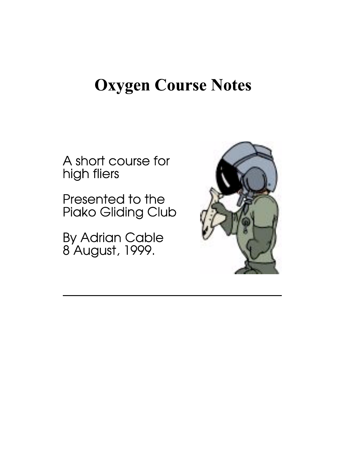# **Oxygen Course Notes**

A short course for high fliers

Presented to the Piako Gliding Club

By Adrian Cable<br>8 August, 1999.

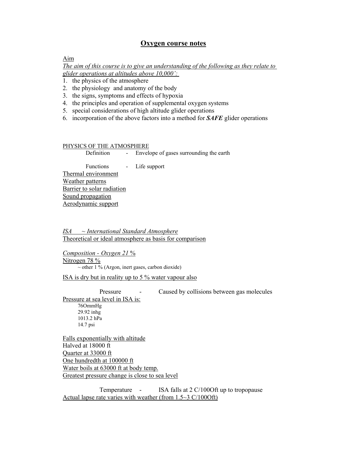## **Oxygen course notes**

#### Aim

*The aim of this course is to give an understanding of the following as they relate to glider operations at altitudes above 10,000':* 

- 1. the physics of the atmosphere
- 2. the physiology and anatomy of the body
- 3. the signs, symptoms and effects of hypoxia
- 4. the principles and operation of supplemental oxygen systems
- 5. special considerations of high altitude glider operations
- 6. incorporation of the above factors into a method for *SAFE* glider operations

#### PHYSICS OF THE ATMOSPHERE

Definition - Envelope of gases surrounding the earth

 Functions - Life support Thermal environment Weather patterns Barrier to solar radiation Sound propagation Aerodynamic support

*ISA ~ International Standard Atmosphere* Theoretical or ideal atmosphere as basis for comparison

*Composition - Oxygen 21* % Nitrogen 78 %  $\sim$  other 1 % (Argon, inert gases, carbon dioxide)

ISA is dry but in reality up to 5 % water vapour also

Pressure **-** Caused by collisions between gas molecules Pressure at sea level in ISA is: 76OmmHg 29.92 inhg 1013.2 hPa 14.7 psi

Falls exponentially with altitude Halved at 18000 ft Quarter at 33000 ft One hundredth at 100000 ft Water boils at 63000 ft at body temp. Greatest pressure change is close to sea level

Temperature - ISA falls at 2 C/100Oft up to tropopause Actual lapse rate varies with weather (from 1.5~3 C/100Oft)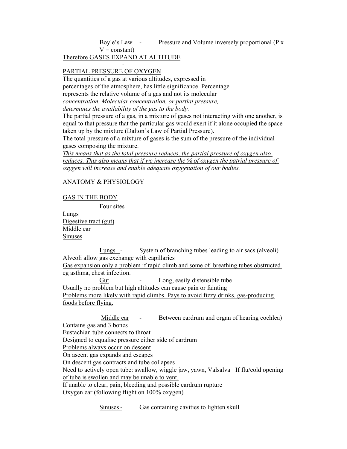Boyle's Law - Pressure and Volume inversely proportional (P x

 $V = constant$ )

Therefore GASES EXPAND AT ALTITUDE -

## PARTIAL PRESSURE OF OXYGEN

The quantities of a gas at various altitudes, expressed in percentages of the atmosphere, has little significance. Percentage represents the relative volume of a gas and not its molecular *concentration. Molecular concentration, or partial pressure, determines the availability of the gas to the body.* 

The partial pressure of a gas, in a mixture of gases not interacting with one another, is equal to that pressure that the particular gas would exert if it alone occupied the space taken up by the mixture (Dalton's Law of Partial Pressure).

The total pressure of a mixture of gases is the sum of the pressure of the individual gases composing the mixture.

*This means that as the total pressure reduces, the partial pressure of oxygen also reduces. This also means that if we increase the % of oxygen the patrial pressure of oxygen will increase and enable adequate oxygenation of our bodies.*

## ANATOMY & PHYSIOLOGY

## GAS IN THE BODY

Four sites

Lungs Digestive tract (gut) Middle ear Sinuses

Lungs - System of branching tubes leading to air sacs (alveoli) Alveoli allow gas exchange with capillaries Gas expansion only a problem if rapid climb and some of breathing tubes obstructed eg asthma, chest infection. Gut - Long, easily distensible tube Usually no problem but high altitudes can cause pain or fainting Problems more likely with rapid climbs. Pays to avoid fizzy drinks, gas-producing foods before flying.

Middle ear - Between eardrum and organ of hearing cochlea) Contains gas and 3 bones Eustachian tube connects to throat Designed to equalise pressure either side of eardrum Problems always occur on descent On ascent gas expands and escapes On descent gas contracts and tube collapses Need to actively open tube: swallow, wiggle jaw, yawn, Valsalva If flu/cold opening of tube is swollen and may be unable to vent. If unable to clear, pain, bleeding and possible eardrum rupture Oxygen ear (following flight on 100% oxygen)

Sinuses - Gas containing cavities to lighten skull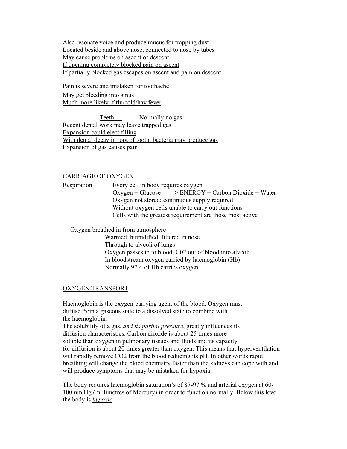Also resonate voice and produce mucus for trapping dust Located beside and above nose, connected to nose by tubes May cause problems on ascent or descent If opening completely blocked pain on ascent If partially blocked gas escapes on ascent and pain on descent

Pain is severe and mistaken for toothache May get bleeding into sinus Much more likely if flu/cold/hay fever

Teeth - Normally no gas Recent dental work may leave trapped gas Expansion could eject filling With dental decay in root of tooth, bacteria may produce gas Expansion of gas causes pain

#### CARRIAGE OF OXYGEN

Respiration Every cell in body requires oxygen  $Oxygen + Glucose --- \geq ENERGY + Carbon Dioxide + Water$ Oxygen not stored; continuous supply required Without oxygen cells unable to carry out functions Cells with the greatest requirement are those most active

Oxygen breathed in from atmosphere

Warmed, humidified, filtered in nose Through to alveoli of lungs Oxygen passes in to blood, C02 out of blood into alveoli In bloodstream oxygen carried by haemoglobin (Hb) Normally 97% of Hb carries oxygen

#### OXYGEN TRANSPORT

Haemoglobin is the oxygen-carrying agent of the blood. Oxygen must diffuse from a gaseous state to a dissolved state to combine with the haemoglobin.

The solubility of a gas, *and its partial pressure*, greatly influences its diffusion characteristics. Carbon dioxide is about 25 times more soluble than oxygen in pulmonary tissues and fluids and its capacity for diffusion is about 20 times greater than oxygen. This means that hyperventilation will rapidly remove CO2 from the blood reducing its pH. In other words rapid breathing will change the blood chemistry faster than the kidneys can cope with and will produce symptoms that may be mistaken for hypoxia.

The body requires haemoglobin saturation's of 87-97 % and arterial oxygen at 60- 100mm Hg (millimetres of Mercury) in order to function normally. Below this level the body is *hypoxic*.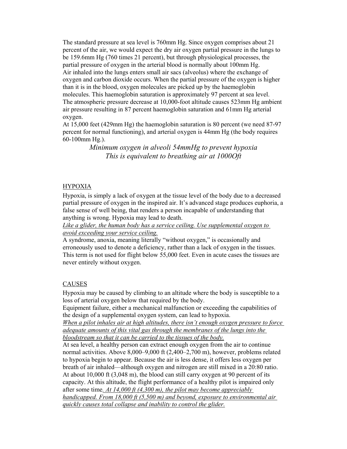The standard pressure at sea level is 760mm Hg. Since oxygen comprises about 21 percent of the air, we would expect the dry air oxygen partial pressure in the lungs to be 159.6mm Hg (760 times 21 percent), but through physiological processes, the partial pressure of oxygen in the arterial blood is normally about 100mm Hg. Air inhaled into the lungs enters small air sacs (alveolus) where the exchange of oxygen and carbon dioxide occurs. When the partial pressure of the oxygen is higher than it is in the blood, oxygen molecules are picked up by the haemoglobin molecules. This haemoglobin saturation is approximately 97 percent at sea level. The atmospheric pressure decrease at 10,000-foot altitude causes 523mm Hg ambient air pressure resulting in 87 percent haemoglobin saturation and 61mm Hg arterial oxygen.

At 15,000 feet (429mm Hg) the haemoglobin saturation is 80 percent (we need 87-97 percent for normal functioning), and arterial oxygen is 44mm Hg (the body requires 60-100mm Hg.).

> *Minimum oxygen in alveoli 54mmHg to prevent hypoxia This is equivalent to breathing air at 1000Oft*

#### HYPOXIA

Hypoxia, is simply a lack of oxygen at the tissue level of the body due to a decreased partial pressure of oxygen in the inspired air. It's advanced stage produces euphoria, a false sense of well being, that renders a person incapable of understanding that anything is wrong. Hypoxia may lead to death.

*Like a glider, the human body has a service ceiling. Use supplemental oxygen to avoid exceeding your service ceiling.*

A syndrome, anoxia, meaning literally "without oxygen," is occasionally and erroneously used to denote a deficiency, rather than a lack of oxygen in the tissues. This term is not used for flight below 55,000 feet. Even in acute cases the tissues are never entirely without oxygen.

## CAUSES

Hypoxia may be caused by climbing to an altitude where the body is susceptible to a loss of arterial oxygen below that required by the body.

Equipment failure, either a mechanical malfunction or exceeding the capabilities of the design of a supplemental oxygen system, can lead to hypoxia.

*When a pilot inhales air at high altitudes, there isn't enough oxygen pressure to force adequate amounts of this vital gas through the membranes of the lungs into the bloodstream so that it can be carried to the tissues of the body.*

At sea level, a healthy person can extract enough oxygen from the air to continue normal activities. Above 8,000–9,000 ft (2,400–2,700 m), however, problems related to hypoxia begin to appear. Because the air is less dense, it offers less oxygen per breath of air inhaled—although oxygen and nitrogen are still mixed in a 20:80 ratio. At about 10,000 ft (3,048 m), the blood can still carry oxygen at 90 percent of its capacity. At this altitude, the flight performance of a healthy pilot is impaired only after some time*. At 14,000 ft (4,300 m), the pilot may become appreciably handicapped. From 18,000 ft (5,500 m) and beyond, exposure to environmental air quickly causes total collapse and inability to control the glider.*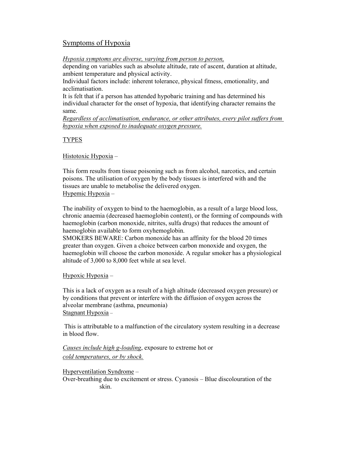# Symptoms of Hypoxia

*Hypoxia symptoms are diverse, varying from person to person,*

depending on variables such as absolute altitude, rate of ascent, duration at altitude, ambient temperature and physical activity.

Individual factors include: inherent tolerance, physical fitness, emotionality, and acclimatisation.

It is felt that if a person has attended hypobaric training and has determined his individual character for the onset of hypoxia, that identifying character remains the same.

*Regardless of acclimatisation, endurance, or other attributes, every pilot suffers from hypoxia when exposed to inadequate oxygen pressure.*

## TYPES

Histotoxic Hypoxia –

This form results from tissue poisoning such as from alcohol, narcotics, and certain poisons. The utilisation of oxygen by the body tissues is interfered with and the tissues are unable to metabolise the delivered oxygen. Hypemic Hypoxia –

The inability of oxygen to bind to the haemoglobin, as a result of a large blood loss, chronic anaemia (decreased haemoglobin content), or the forming of compounds with haemoglobin (carbon monoxide, nitrites, sulfa drugs) that reduces the amount of haemoglobin available to form oxyhemoglobin.

SMOKERS BEWARE: Carbon monoxide has an affinity for the blood 20 times greater than oxygen. Given a choice between carbon monoxide and oxygen, the haemoglobin will choose the carbon monoxide. A regular smoker has a physiological altitude of 3,000 to 8,000 feet while at sea level.

## Hypoxic Hypoxia –

This is a lack of oxygen as a result of a high altitude (decreased oxygen pressure) or by conditions that prevent or interfere with the diffusion of oxygen across the alveolar membrane (asthma, pneumonia) Stagnant Hypoxia –

 This is attributable to a malfunction of the circulatory system resulting in a decrease in blood flow.

*Causes include high g-loading*, exposure to extreme hot or *cold temperatures, or by shock.*

Hyperventilation Syndrome – Over-breathing due to excitement or stress. Cyanosis – Blue discolouration of the skin.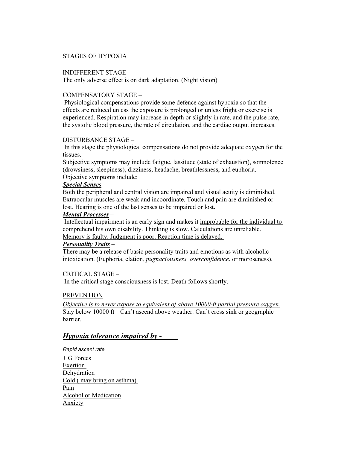## STAGES OF HYPOXIA

#### INDIFFERENT STAGE –

The only adverse effect is on dark adaptation. (Night vision)

## COMPENSATORY STAGE –

 Physiological compensations provide some defence against hypoxia so that the effects are reduced unless the exposure is prolonged or unless fright or exercise is experienced. Respiration may increase in depth or slightly in rate, and the pulse rate, the systolic blood pressure, the rate of circulation, and the cardiac output increases.

#### DISTURBANCE STAGE –

 In this stage the physiological compensations do not provide adequate oxygen for the tissues.

Subjective symptoms may include fatigue, lassitude (state of exhaustion), somnolence (drowsiness, sleepiness), dizziness, headache, breathlessness, and euphoria. Objective symptoms include:

## *Special Senses –*

Both the peripheral and central vision are impaired and visual acuity is diminished. Extraocular muscles are weak and incoordinate. Touch and pain are diminished or lost. Hearing is one of the last senses to be impaired or lost.

#### *Mental Processes –*

 Intellectual impairment is an early sign and makes it improbable for the individual to comprehend his own disability. Thinking is slow. Calculations are unreliable.

Memory is faulty. Judgment is poor. Reaction time is delayed.

#### *Personality Traits –*

There may be a release of basic personality traits and emotions as with alcoholic intoxication. (Euphoria, elation*, pugnaciousness, overconfidence*, or moroseness).

#### CRITICAL STAGE –

In the critical stage consciousness is lost. Death follows shortly.

#### PREVENTION

*Objective is to never expose to equivalent of above 10000-ft partial pressure oxygen.* Stay below 10000 ft Can't ascend above weather. Can't cross sink or geographic **barrier** 

## *Hypoxia tolerance impaired by -*

*Rapid ascent rate* 

+ G Forces Exertion Dehydration Cold ( may bring on asthma) Pain Alcohol or Medication Anxiety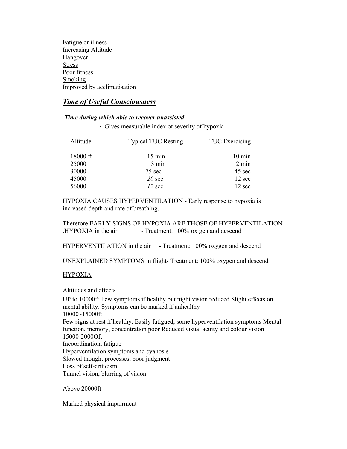Fatigue or illness Increasing Altitude Hangover Stress Poor fitness Smoking Improved by acclimatisation

# *Time of Useful Consciousness*

## *Time during which able to recover unassisted*

 $\sim$  Gives measurable index of severity of hypoxia

| Altitude | <b>Typical TUC Resting</b> | <b>TUC</b> Exercising |
|----------|----------------------------|-----------------------|
| 18000 ft | $15 \text{ min}$           | $10 \text{ min}$      |
| 25000    | $3 \text{ min}$            | $2 \text{ min}$       |
| 30000    | $-75$ sec                  | 45 sec                |
| 45000    | $20 \text{ sec}$           | 12 sec                |
| 56000    | $12 \text{ sec}$           | 12 sec                |

HYPOXIA CAUSES HYPERVENTILATION - Early response to hypoxia is increased depth and rate of breathing.

Therefore EARLY SIGNS OF HYPOXIA ARE THOSE OF HYPERVENTILATION .HYPOXIA in the air  $\sim$  Treatment: 100% ox gen and descend

HYPERVENTILATION in the air - Treatment: 100% oxygen and descend

UNEXPLAINED SYMPTOMS in flight- Treatment: 100% oxygen and descend

## HYPOXIA

Altitudes and effects

UP to 10000ft Few symptoms if healthy but night vision reduced Slight effects on mental ability. Symptoms can be marked if unhealthy 10000~15000ft Few signs at rest if healthy. Easily fatigued, some hyperventilation symptoms Mental function, memory, concentration poor Reduced visual acuity and colour vision 15000-2000Oft Incoordination, fatigue Hyperventilation symptoms and cyanosis Slowed thought processes, poor judgment Loss of self-criticism Tunnel vision, blurring of vision

## Above 20000ft

Marked physical impairment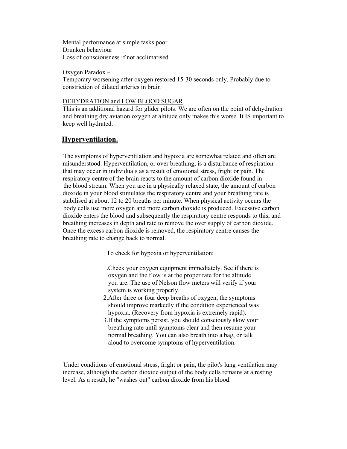Mental performance at simple tasks poor Drunken behaviour Loss of consciousness if not acclimatised

Oxygen Paradox –

Temporary worsening after oxygen restored 15-30 seconds only. Probably due to constriction of dilated arteries in brain

#### DEHYDRATION and LOW BLOOD SUGAR

This is an additional hazard for glider pilots. We are often on the point of dehydration and breathing dry aviation oxygen at altitude only makes this worse. It IS important to keep well hydrated.

# **Hyperventilation.**

 The symptoms of hyperventilation and hypoxia are somewhat related and often are misunderstood. Hyperventilation, or over breathing, is a disturbance of respiration that may occur in individuals as a result of emotional stress, fright or pain. The respiratory centre of the brain reacts to the amount of carbon dioxide found in the blood stream. When you are in a physically relaxed state, the amount of carbon dioxide in your blood stimulates the respiratory centre and your breathing rate is stabilised at about 12 to 20 breaths per minute. When physical activity occurs the body cells use more oxygen and more carbon dioxide is produced. Excessive carbon dioxide enters the blood and subsequently the respiratory centre responds to this, and breathing increases in depth and rate to remove the over supply of carbon dioxide. Once the excess carbon dioxide is removed, the respiratory centre causes the breathing rate to change back to normal.

To check for hypoxia or hyperventilation:

- 1.Check your oxygen equipment immediately. See if there is oxygen and the flow is at the proper rate for the altitude you are. The use of Nelson flow meters will verify if your system is working properly.
- 2.After three or four deep breaths of oxygen, the symptoms should improve markedly if the condition experienced was hypoxia. (Recovery from hypoxia is extremely rapid).
- 3.If the symptoms persist, you should consciously slow your breathing rate until symptoms clear and then resume your normal breathing. You can also breath into a bag, or talk aloud to overcome symptoms of hyperventilation.

 Under conditions of emotional stress, fright or pain, the pilot's lung ventilation may increase, although the carbon dioxide output of the body cells remains at a resting level. As a result, he "washes out" carbon dioxide from his blood.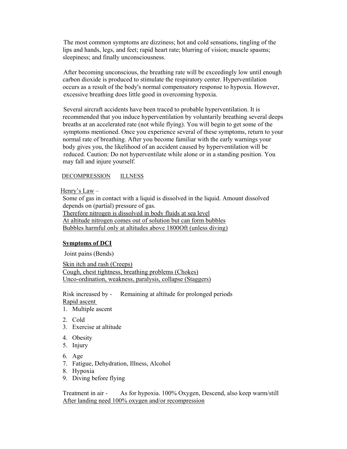The most common symptoms are dizziness; hot and cold sensations, tingling of the lips and hands, legs, and feet; rapid heart rate; blurring of vision; muscle spasms; sleepiness; and finally unconsciousness.

 After becoming unconscious, the breathing rate will be exceedingly low until enough carbon dioxide is produced to stimulate the respiratory center. Hyperventilation occurs as a result of the body's normal compensatory response to hypoxia. However, excessive breathing does little good in overcoming hypoxia.

 Several aircraft accidents have been traced to probable hyperventilation. It is recommended that you induce hyperventilation by voluntarily breathing several deeps breaths at an accelerated rate (not while flying). You will begin to get some of the symptoms mentioned. Once you experience several of these symptoms, return to your normal rate of breathing. After you become familiar with the early warnings your body gives you, the likelihood of an accident caused by hyperventilation will be reduced. Caution: Do not hyperventilate while alone or in a standing position. You may fall and injure yourself.

#### DECOMPRESSION ILLNESS

Henry's Law –

Some of gas in contact with a liquid is dissolved in the liquid. Amount dissolved depends on (partial) pressure of gas. Therefore nitrogen is dissolved in body fluids at sea level At altitude nitrogen comes out of solution but can form bubbles Bubbles harmful only at altitudes above 1800Oft (unless diving)

#### **Symptoms of DCI**

Joint pains (Bends)

Skin itch and rash (Creeps) Cough, chest tightness, breathing problems (Chokes) Unco-ordination, weakness, paralysis, collapse (Staggers)

Risk increased by - Remaining at altitude for prolonged periods Rapid ascent

- 1. Multiple ascent
- 2. Cold
- 3. Exercise at altitude
- 4. Obesity
- 5. Injury
- 6. Age
- 7. Fatigue, Dehydration, Illness, Alcohol
- 8. Hypoxia
- 9. Diving before flying

Treatment in air - As for hypoxia. 100% Oxygen, Descend, also keep warm/still After landing need 100% oxygen and/or recompression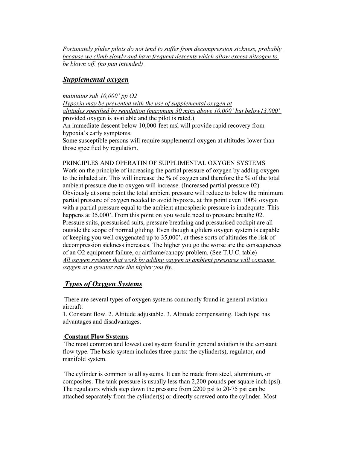*Fortunately glider pilots do not tend to suffer from decompression sickness, probably because we climb slowly and have frequent descents which allow excess nitrogen to be blown off. (no pun intended)* 

# *Supplemental oxygen*

*maintains sub 10,000' pp O2 Hypoxia may be prevented with the use of supplemental oxygen at altitudes specified by regulation (maximum 30 mins above 10,000' but below13,000'* provided oxygen is available and the pilot is rated.) An immediate descent below 10,000-feet msl will provide rapid recovery from hypoxia's early symptoms. Some susceptible persons will require supplemental oxygen at altitudes lower than those specified by regulation.

#### PRINCIPLES AND OPERATIN OF SUPPLIMENTAL OXYGEN SYSTEMS

Work on the principle of increasing the partial pressure of oxygen by adding oxygen to the inhaled air. This will increase the % of oxygen and therefore the % of the total ambient pressure due to oxygen will increase. (Increased partial pressure 02) Obviously at some point the total ambient pressure will reduce to below the minimum partial pressure of oxygen needed to avoid hypoxia, at this point even 100% oxygen with a partial pressure equal to the ambient atmospheric pressure is inadequate. This happens at 35,000'. From this point on you would need to pressure breathe 02. Pressure suits, pressurised suits, pressure breathing and pressurised cockpit are all outside the scope of normal gliding. Even though a gliders oxygen system is capable of keeping you well oxygenated up to 35,000', at these sorts of altitudes the risk of decompression sickness increases. The higher you go the worse are the consequences of an O2 equipment failure, or airframe/canopy problem. (See T.U.C. table) *All oxygen systems that work by adding oxygen at ambient pressures will consume oxygen at a greater rate the higher you fly.*

# *Types of Oxygen Systems*

 There are several types of oxygen systems commonly found in general aviation aircraft:

1. Constant flow. 2. Altitude adjustable. 3. Altitude compensating. Each type has advantages and disadvantages.

#### **Constant Flow Systems**.

 The most common and lowest cost system found in general aviation is the constant flow type. The basic system includes three parts: the cylinder(s), regulator, and manifold system.

 The cylinder is common to all systems. It can be made from steel, aluminium, or composites. The tank pressure is usually less than 2,200 pounds per square inch (psi). The regulators which step down the pressure from 2200 psi to 20-75 psi can be attached separately from the cylinder(s) or directly screwed onto the cylinder. Most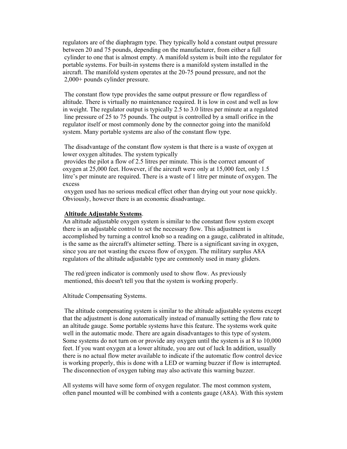regulators are of the diaphragm type. They typically hold a constant output pressure between 20 and 75 pounds, depending on the manufacturer, from either a full cylinder to one that is almost empty. A manifold system is built into the regulator for portable systems. For built-in systems there is a manifold system installed in the aircraft. The manifold system operates at the 20-75 pound pressure, and not the 2,000+ pounds cylinder pressure.

 The constant flow type provides the same output pressure or flow regardless of altitude. There is virtually no maintenance required. It is low in cost and well as low in weight. The regulator output is typically 2.5 to 3.0 litres per minute at a regulated line pressure of 25 to 75 pounds. The output is controlled by a small orifice in the regulator itself or most commonly done by the connector going into the manifold system. Many portable systems are also of the constant flow type.

 The disadvantage of the constant flow system is that there is a waste of oxygen at lower oxygen altitudes. The system typically

 provides the pilot a flow of 2.5 litres per minute. This is the correct amount of oxygen at 25,000 feet. However, if the aircraft were only at 15,000 feet, only 1.5 litre's per minute are required. There is a waste of 1 litre per minute of oxygen. The excess

 oxygen used has no serious medical effect other than drying out your nose quickly. Obviously, however there is an economic disadvantage.

#### **Altitude Adjustable Systems**.

An altitude adjustable oxygen system is similar to the constant flow system except there is an adjustable control to set the necessary flow. This adjustment is accomplished by turning a control knob so a reading on a gauge, calibrated in altitude, is the same as the aircraft's altimeter setting. There is a significant saving in oxygen, since you are not wasting the excess flow of oxygen. The military surplus A8A regulators of the altitude adjustable type are commonly used in many gliders.

 The red/green indicator is commonly used to show flow. As previously mentioned, this doesn't tell you that the system is working properly.

Altitude Compensating Systems.

 The altitude compensating system is similar to the altitude adjustable systems except that the adjustment is done automatically instead of manually setting the flow rate to an altitude gauge. Some portable systems have this feature. The systems work quite well in the automatic mode. There are again disadvantages to this type of system. Some systems do not turn on or provide any oxygen until the system is at 8 to 10,000 feet. If you want oxygen at a lower altitude, you are out of luck In addition, usually there is no actual flow meter available to indicate if the automatic flow control device is working properly, this is done with a LED or warning buzzer if flow is interrupted. The disconnection of oxygen tubing may also activate this warning buzzer.

All systems will have some form of oxygen regulator. The most common system, often panel mounted will be combined with a contents gauge (A8A). With this system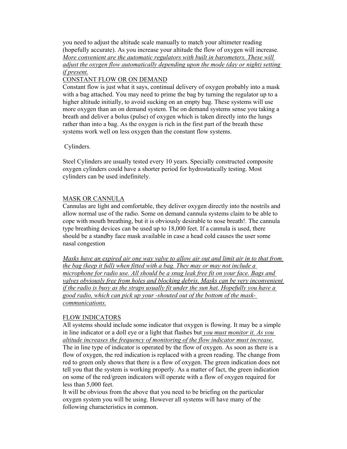you need to adjust the altitude scale manually to match your altimeter reading (hopefully accurate). As you increase your altitude the flow of oxygen will increase. *More convenient are the automatic regulators with built in barometers. These will adjust the oxygen flow automatically depending upon the mode (day or night) setting if present.*

## CONSTANT FLOW OR ON DEMAND

Constant flow is just what it says, continual delivery of oxygen probably into a mask with a bag attached. You may need to prime the bag by turning the regulator up to a higher altitude initially, to avoid sucking on an empty bag. These systems will use more oxygen than an on demand system. The on demand systems sense you taking a breath and deliver a bolus (pulse) of oxygen which is taken directly into the lungs rather than into a bag. As the oxygen is rich in the first part of the breath these systems work well on less oxygen than the constant flow systems.

Cylinders.

Steel Cylinders are usually tested every 10 years. Specially constructed composite oxygen cylinders could have a shorter period for hydrostatically testing. Most cylinders can be used indefinitely.

## MASK OR CANNULA

Cannulas are light and comfortable, they deliver oxygen directly into the nostrils and allow normal use of the radio. Some on demand cannula systems claim to be able to cope with mouth breathing, but it is obviously desirable to nose breath!. The cannula type breathing devices can be used up to 18,000 feet. If a cannula is used, there should be a standby face mask available in case a head cold causes the user some nasal congestion

*Masks have an expired air one way valve to allow air out and limit air in to that from the bag (keep it full) when fitted with a bag. They may or may not include a microphone for radio use. All should be a snug leak free fit on your face. Bags and valves obviously free from holes and blocking debris. Masks can be very inconvenient if the radio is busy as the straps usually fit under the sun hat. Hopefully you have a good radio, which can pick up your -shouted out of the bottom of the maskcommunications.*

# FLOW INDICATORS

All systems should include some indicator that oxygen is flowing. It may be a simple in line indicator or a doll eye or a light that flashes but *you must monitor it. As you altitude increases the frequency of monitoring of the flow indicator must increase.*

The in line type of indicator is operated by the flow of oxygen. As soon as there is a flow of oxygen, the red indication is replaced with a green reading. The change from red to green only shows that there is a flow of oxygen. The green indication does not tell you that the system is working properly. As a matter of fact, the green indication on some of the red/green indicators will operate with a flow of oxygen required for less than 5,000 feet.

It will be obvious from the above that you need to be briefing on the particular oxygen system you will be using. However all systems will have many of the following characteristics in common.